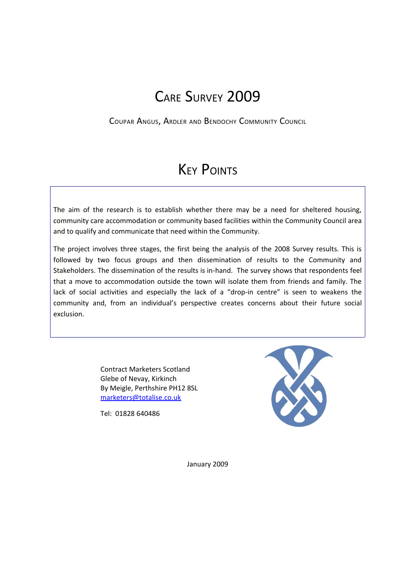## CARE SURVEY 2009

COUPAR ANGUS, ARDLER AND BENDOCHY COMMUNITY COUNCIL

# **KEY POINTS**

The aim of the research is to establish whether there may be a need for sheltered housing, community care accommodation or community based facilities within the Community Council area and to qualify and communicate that need within the Community.

The project involves three stages, the first being the analysis of the 2008 Survey results. This is followed by two focus groups and then dissemination of results to the Community and Stakeholders. The dissemination of the results is in-hand. The survey shows that respondents feel that a move to accommodation outside the town will isolate them from friends and family. The lack of social activities and especially the lack of a "drop-in centre" is seen to weakens the community and, from an individual's perspective creates concerns about their future social exclusion.

> Contract Marketers Scotland Glebe of Nevay, Kirkinch By Meigle, Perthshire PH12 8SL [marketers@totalise.co.uk](mailto:marketers@totalise.co.uk)

Tel: 01828 640486



January 2009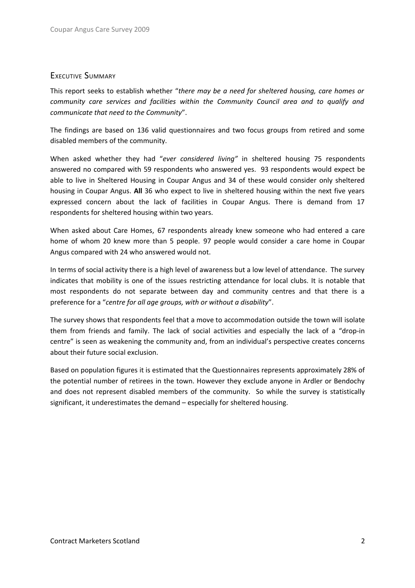## EXECUTIVE SUMMARY

This report seeks to establish whether "*there may be a need for sheltered housing, care homes or community care services and facilities within the Community Council area and to qualify and communicate that need to the Community*".

The findings are based on 136 valid questionnaires and two focus groups from retired and some disabled members of the community.

When asked whether they had "*ever considered living"* in sheltered housing 75 respondents answered no compared with 59 respondents who answered yes. 93 respondents would expect be able to live in Sheltered Housing in Coupar Angus and 34 of these would consider only sheltered housing in Coupar Angus. **All** 36 who expect to live in sheltered housing within the next five years expressed concern about the lack of facilities in Coupar Angus. There is demand from 17 respondents for sheltered housing within two years.

When asked about Care Homes, 67 respondents already knew someone who had entered a care home of whom 20 knew more than 5 people. 97 people would consider a care home in Coupar Angus compared with 24 who answered would not.

In terms of social activity there is a high level of awareness but a low level of attendance. The survey indicates that mobility is one of the issues restricting attendance for local clubs. It is notable that most respondents do not separate between day and community centres and that there is a preference for a "*centre for all age groups, with or without a disability*".

The survey shows that respondents feel that a move to accommodation outside the town will isolate them from friends and family. The lack of social activities and especially the lack of a "drop-in centre" is seen as weakening the community and, from an individual's perspective creates concerns about their future social exclusion.

Based on population figures it is estimated that the Questionnaires represents approximately 28% of the potential number of retirees in the town. However they exclude anyone in Ardler or Bendochy and does not represent disabled members of the community. So while the survey is statistically significant, it underestimates the demand – especially for sheltered housing.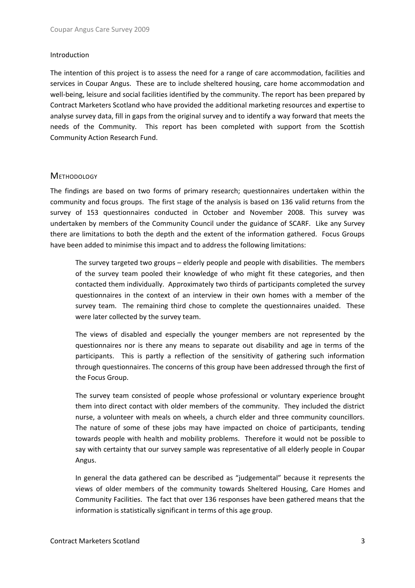#### Introduction

The intention of this project is to assess the need for a range of care accommodation, facilities and services in Coupar Angus. These are to include sheltered housing, care home accommodation and well-being, leisure and social facilities identified by the community. The report has been prepared by Contract Marketers Scotland who have provided the additional marketing resources and expertise to analyse survey data, fill in gaps from the original survey and to identify a way forward that meets the needs of the Community. This report has been completed with support from the Scottish Community Action Research Fund.

## **METHODOLOGY**

The findings are based on two forms of primary research; questionnaires undertaken within the community and focus groups. The first stage of the analysis is based on 136 valid returns from the survey of 153 questionnaires conducted in October and November 2008. This survey was undertaken by members of the Community Council under the guidance of SCARF. Like any Survey there are limitations to both the depth and the extent of the information gathered. Focus Groups have been added to minimise this impact and to address the following limitations:

The survey targeted two groups – elderly people and people with disabilities. The members of the survey team pooled their knowledge of who might fit these categories, and then contacted them individually. Approximately two thirds of participants completed the survey questionnaires in the context of an interview in their own homes with a member of the survey team. The remaining third chose to complete the questionnaires unaided. These were later collected by the survey team.

The views of disabled and especially the younger members are not represented by the questionnaires nor is there any means to separate out disability and age in terms of the participants. This is partly a reflection of the sensitivity of gathering such information through questionnaires. The concerns of this group have been addressed through the first of the Focus Group.

The survey team consisted of people whose professional or voluntary experience brought them into direct contact with older members of the community. They included the district nurse, a volunteer with meals on wheels, a church elder and three community councillors. The nature of some of these jobs may have impacted on choice of participants, tending towards people with health and mobility problems. Therefore it would not be possible to say with certainty that our survey sample was representative of all elderly people in Coupar Angus.

In general the data gathered can be described as "judgemental" because it represents the views of older members of the community towards Sheltered Housing, Care Homes and Community Facilities. The fact that over 136 responses have been gathered means that the information is statistically significant in terms of this age group.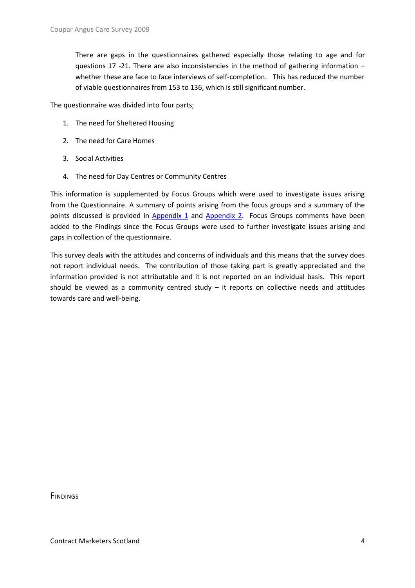There are gaps in the questionnaires gathered especially those relating to age and for questions 17 -21. There are also inconsistencies in the method of gathering information – whether these are face to face interviews of self-completion. This has reduced the number of viable questionnaires from 153 to 136, which is still significant number.

The questionnaire was divided into four parts;

- 1. The need for Sheltered Housing
- 2. The need for Care Homes
- 3. Social Activities
- 4. The need for Day Centres or Community Centres

This information is supplemented by Focus Groups which were used to investigate issues arising from the Questionnaire. A summary of points arising from the focus groups and a summary of the points discussed is provided in [Appendix](#page-13-0) 1 and Appendix 2. Focus Groups comments have been added to the Findings since the Focus Groups were used to further investigate issues arising and gaps in collection of the questionnaire.

This survey deals with the attitudes and concerns of individuals and this means that the survey does not report individual needs. The contribution of those taking part is greatly appreciated and the information provided is not attributable and it is not reported on an individual basis. This report should be viewed as a community centred study  $-$  it reports on collective needs and attitudes towards care and well-being.

**FINDINGS**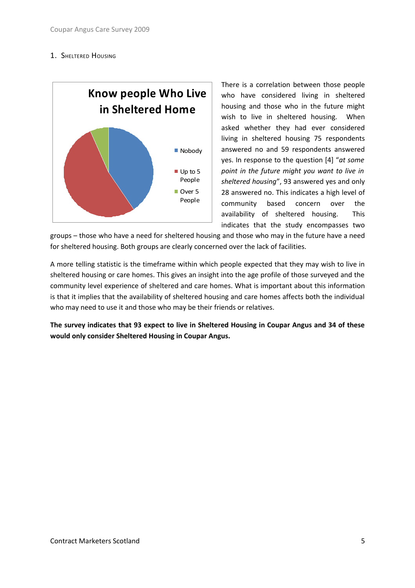## 1. **SHELTERED HOUSING**



There is a correlation between those people who have considered living in sheltered housing and those who in the future might wish to live in sheltered housing. When asked whether they had ever considered living in sheltered housing 75 respondents answered no and 59 respondents answered yes. In response to the question [4] "*at some point in the future might you want to live in sheltered housing*", 93 answered yes and only 28 answered no. This indicates a high level of community based concern over the availability of sheltered housing. This indicates that the study encompasses two

groups – those who have a need for sheltered housing and those who may in the future have a need for sheltered housing. Both groups are clearly concerned over the lack of facilities.

A more telling statistic is the timeframe within which people expected that they may wish to live in sheltered housing or care homes. This gives an insight into the age profile of those surveyed and the community level experience of sheltered and care homes. What is important about this information is that it implies that the availability of sheltered housing and care homes affects both the individual who may need to use it and those who may be their friends or relatives.

**The survey indicates that 93 expect to live in Sheltered Housing in Coupar Angus and 34 of these would only consider Sheltered Housing in Coupar Angus.**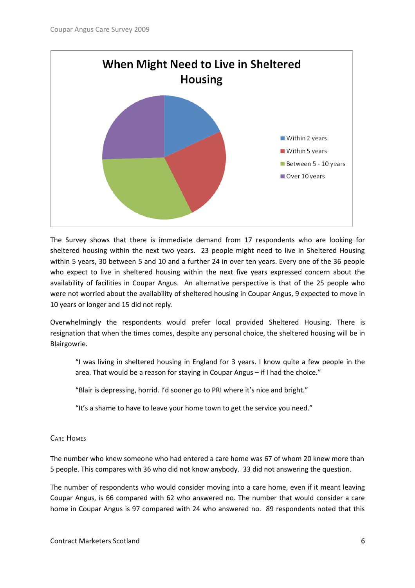

The Survey shows that there is immediate demand from 17 respondents who are looking for sheltered housing within the next two years. 23 people might need to live in Sheltered Housing within 5 years, 30 between 5 and 10 and a further 24 in over ten years. Every one of the 36 people who expect to live in sheltered housing within the next five years expressed concern about the availability of facilities in Coupar Angus. An alternative perspective is that of the 25 people who were not worried about the availability of sheltered housing in Coupar Angus, 9 expected to move in 10 years or longer and 15 did not reply.

Overwhelmingly the respondents would prefer local provided Sheltered Housing. There is resignation that when the times comes, despite any personal choice, the sheltered housing will be in Blairgowrie.

"I was living in sheltered housing in England for 3 years. I know quite a few people in the area. That would be a reason for staying in Coupar Angus – if I had the choice."

"Blair is depressing, horrid. I'd sooner go to PRI where it's nice and bright."

"It's a shame to have to leave your home town to get the service you need."

## CARE HOMES

The number who knew someone who had entered a care home was 67 of whom 20 knew more than 5 people. This compares with 36 who did not know anybody. 33 did not answering the question.

The number of respondents who would consider moving into a care home, even if it meant leaving Coupar Angus, is 66 compared with 62 who answered no. The number that would consider a care home in Coupar Angus is 97 compared with 24 who answered no. 89 respondents noted that this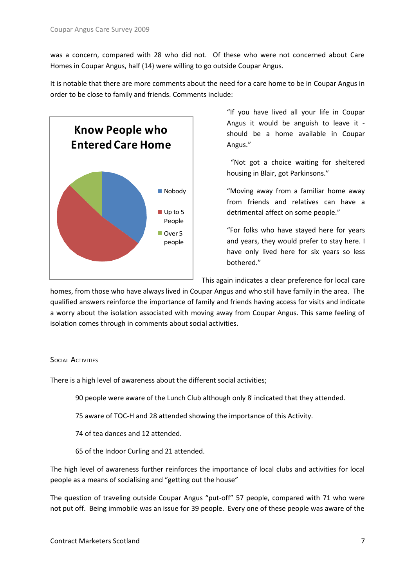was a concern, compared with 28 who did not. Of these who were not concerned about Care Homes in Coupar Angus, half (14) were willing to go outside Coupar Angus.

It is notable that there are more comments about the need for a care home to be in Coupar Angus in order to be close to family and friends. Comments include:



"If you have lived all your life in Coupar Angus it would be anguish to leave it should be a home available in Coupar Angus."

"Not got a choice waiting for sheltered housing in Blair, got Parkinsons."

"Moving away from a familiar home away from friends and relatives can have a detrimental affect on some people."

"For folks who have stayed here for years and years, they would prefer to stay here. I have only lived here for six years so less bothered."

This again indicates a clear preference for local care

homes, from those who have always lived in Coupar Angus and who still have family in the area. The qualified answers reinforce the importance of family and friends having access for visits and indicate a worry about the isolation associated with moving away from Coupar Angus. This same feeling of isolation comes through in comments about social activities.

#### **SOCIAL ACTIVITIES**

There is a high level of awareness about the different social activities;

90people were aware of the Lunch Club although only 8<sup>i</sup> indicated that they attended.

- 75 aware of TOC-H and 28 attended showing the importance of this Activity.
- 74 of tea dances and 12 attended.
- 65 of the Indoor Curling and 21 attended.

The high level of awareness further reinforces the importance of local clubs and activities for local people as a means of socialising and "getting out the house"

The question of traveling outside Coupar Angus "put-off" 57 people, compared with 71 who were not put off. Being immobile was an issue for 39 people. Every one of these people was aware of the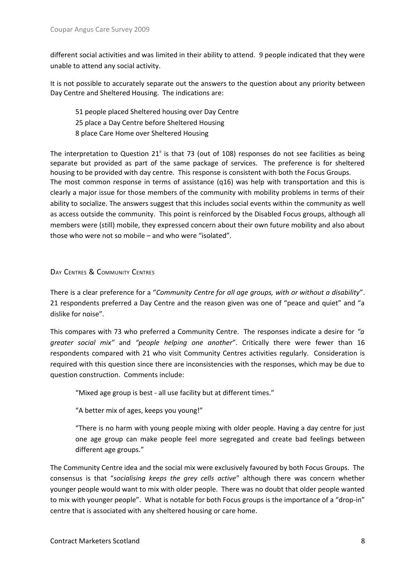different social activities and was limited in their ability to attend. 9 people indicated that they were unable to attend any social activity.

It is not possible to accurately separate out the answers to the question about any priority between Day Centre and Sheltered Housing. The indications are:

51 people placed Sheltered housing over Day Centre 25 place a Day Centre before Sheltered Housing 8 place Care Home over Sheltered Housing

The interpretation to Question  $21^{\text{ii}}$  $21^{\text{ii}}$  $21^{\text{ii}}$  is that 73 (out of 108) responses do not see facilities as being separate but provided as part of the same package of services. The preference is for sheltered housing to be provided with day centre. This response is consistent with both the Focus Groups. The most common response in terms of assistance (q16) was help with transportation and this is clearly a major issue for those members of the community with mobility problems in terms of their ability to socialize. The answers suggest that this includes social events within the community as well as access outside the community. This point is reinforced by the Disabled Focus groups, although all members were (still) mobile, they expressed concern about their own future mobility and also about those who were not so mobile – and who were "isolated".

## DAY CENTRES & COMMUNITY CENTRES

There is a clear preference for a "*Community Centre for all age groups, with or without a disability*". 21 respondents preferred a Day Centre and the reason given was one of "peace and quiet" and "a dislike for noise".

This compares with 73 who preferred a Community Centre. The responses indicate a desire for *"a greater social mix"* and *"people helping one another*". Critically there were fewer than 16 respondents compared with 21 who visit Community Centres activities regularly. Consideration is required with this question since there are inconsistencies with the responses, which may be due to question construction. Comments include:

"Mixed age group is best - all use facility but at different times."

"A better mix of ages, keeps you young!"

"There is no harm with young people mixing with older people. Having a day centre for just one age group can make people feel more segregated and create bad feelings between different age groups."

The Community Centre idea and the social mix were exclusively favoured by both Focus Groups. The consensus is that "*socialising keeps the grey cells active*" although there was concern whether younger people would want to mix with older people. There was no doubt that older people wanted to mix with younger people". What is notable for both Focus groups is the importance of a "drop-in" centre that is associated with any sheltered housing or care home.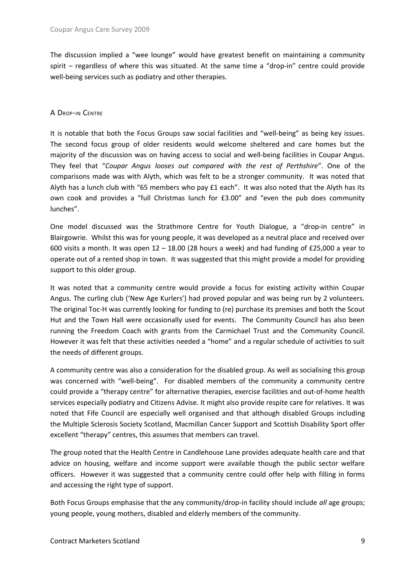The discussion implied a "wee lounge" would have greatest benefit on maintaining a community spirit – regardless of where this was situated. At the same time a "drop-in" centre could provide well-being services such as podiatry and other therapies.

## A DROP-IN CENTRE

It is notable that both the Focus Groups saw social facilities and "well-being" as being key issues. The second focus group of older residents would welcome sheltered and care homes but the majority of the discussion was on having access to social and well-being facilities in Coupar Angus. They feel that "*Coupar Angus looses out compared with the rest of Perthshire*". One of the comparisons made was with Alyth, which was felt to be a stronger community. It was noted that Alyth has a lunch club with "65 members who pay £1 each". It was also noted that the Alyth has its own cook and provides a "full Christmas lunch for £3.00" and "even the pub does community lunches".

One model discussed was the Strathmore Centre for Youth Dialogue, a "drop-in centre" in Blairgowrie. Whilst this was for young people, it was developed as a neutral place and received over 600 visits a month. It was open  $12 - 18.00$  (28 hours a week) and had funding of £25,000 a year to operate out of a rented shop in town. It was suggested that this might provide a model for providing support to this older group.

It was noted that a community centre would provide a focus for existing activity within Coupar Angus. The curling club ('New Age Kurlers') had proved popular and was being run by 2 volunteers. The original Toc-H was currently looking for funding to (re) purchase its premises and both the Scout Hut and the Town Hall were occasionally used for events. The Community Council has also been running the Freedom Coach with grants from the Carmichael Trust and the Community Council. However it was felt that these activities needed a "home" and a regular schedule of activities to suit the needs of different groups.

A community centre was also a consideration for the disabled group. As well as socialising this group was concerned with "well-being". For disabled members of the community a community centre could provide a "therapy centre" for alternative therapies, exercise facilities and out-of-home health services especially podiatry and Citizens Advise. It might also provide respite care for relatives. It was noted that Fife Council are especially well organised and that although disabled Groups including the Multiple Sclerosis Society Scotland, Macmillan Cancer Support and Scottish Disability Sport offer excellent "therapy" centres, this assumes that members can travel.

The group noted that the Health Centre in Candlehouse Lane provides adequate health care and that advice on housing, welfare and income support were available though the public sector welfare officers. However it was suggested that a community centre could offer help with filling in forms and accessing the right type of support.

Both Focus Groups emphasise that the any community/drop-in facility should include *all* age groups; young people, young mothers, disabled and elderly members of the community.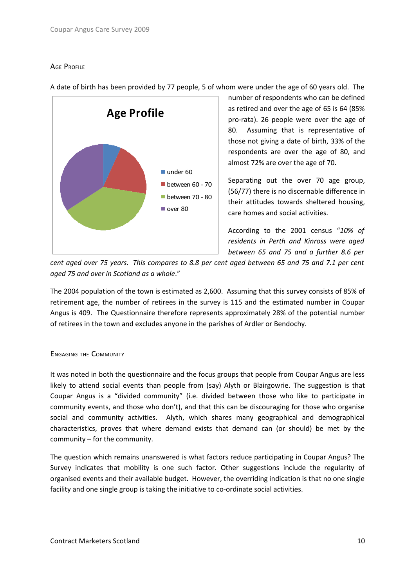## AGE PROFILE



A date of birth has been provided by 77 people, 5 of whom were under the age of 60 years old. The

number of respondents who can be defined as retired and over the age of 65 is 64 (85% pro-rata). 26 people were over the age of 80. Assuming that is representative of those not giving a date of birth, 33% of the respondents are over the age of 80, and almost 72% are over the age of 70.

Separating out the over 70 age group, (56/77) there is no discernable difference in their attitudes towards sheltered housing, care homes and social activities.

According to the 2001 census "*10% of residents in Perth and Kinross were aged between 65 and 75 and a further 8.6 per*

cent aged over 75 years. This compares to 8.8 per cent aged between 65 and 75 and 7.1 per cent *aged 75 and over in Scotland as a whole*."

The 2004 population of the town is estimated as 2,600. Assuming that this survey consists of 85% of retirement age, the number of retirees in the survey is 115 and the estimated number in Coupar Angus is 409. The Questionnaire therefore represents approximately 28% of the potential number of retirees in the town and excludes anyone in the parishes of Ardler or Bendochy.

## ENGAGING THE COMMUNITY

It was noted in both the questionnaire and the focus groups that people from Coupar Angus are less likely to attend social events than people from (say) Alyth or Blairgowrie. The suggestion is that Coupar Angus is a "divided community" (i.e. divided between those who like to participate in community events, and those who don't), and that this can be discouraging for those who organise social and community activities. Alyth, which shares many geographical and demographical characteristics, proves that where demand exists that demand can (or should) be met by the community – for the community.

The question which remains unanswered is what factors reduce participating in Coupar Angus? The Survey indicates that mobility is one such factor. Other suggestions include the regularity of organised events and their available budget. However, the overriding indication is that no one single facility and one single group is taking the initiative to co-ordinate social activities.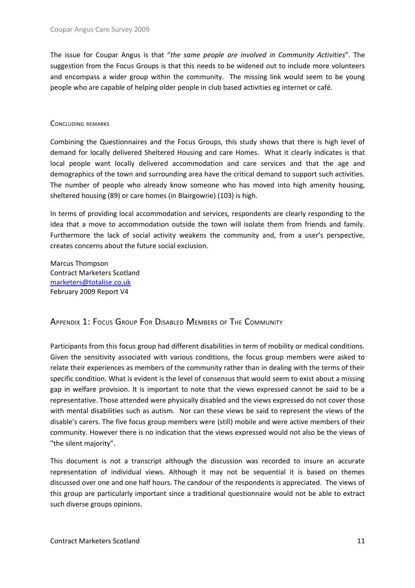The issue for Coupar Angus is that "*the same people are involved in Community Activities*". The suggestion from the Focus Groups is that this needs to be widened out to include more volunteers and encompass a wider group within the community. The missing link would seem to be young people who are capable of helping older people in club based activities eg internet or café.

#### CONCLUDING REMARKS

Combining the Questionnaires and the Focus Groups, this study shows that there is high level of demand for locally delivered Sheltered Housing and care Homes. What it clearly indicates is that local people want locally delivered accommodation and care services and that the age and demographics of the town and surrounding area have the critical demand to support such activities. The number of people who already know someone who has moved into high amenity housing, sheltered housing (89) or care homes (in Blairgowrie) (103) is high.

In terms of providing local accommodation and services, respondents are clearly responding to the idea that a move to accommodation outside the town will isolate them from friends and family. Furthermore the lack of social activity weakens the community and, from a user's perspective, creates concerns about the future social exclusion.

Marcus Thompson Contract Marketers Scotland [marketers@totalise.co.uk](mailto:marketers@totalise.co.uk) February 2009 Report V4

<span id="page-10-0"></span>APPENDIX 1: FOCUS GROUP FOR DISABLED MEMBERS OF THE COMMUNITY

Participants from this focus group had different disabilities in term of mobility or medical conditions. Given the sensitivity associated with various conditions, the focus group members were asked to relate their experiences as members of the community rather than in dealing with the terms of their specific condition. What is evident is the level of consensus that would seem to exist about a missing gap in welfare provision. It is important to note that the views expressed cannot be said to be a representative. Those attended were physically disabled and the views expressed do not cover those with mental disabilities such as autism. Nor can these views be said to represent the views of the disable's carers. The five focus group members were (still) mobile and were active members of their community. However there is no indication that the views expressed would not also be the views of "the silent majority".

This document is not a transcript although the discussion was recorded to insure an accurate representation of individual views. Although it may not be sequential it is based on themes discussed over one and one half hours. The candour of the respondents is appreciated. The views of this group are particularly important since a traditional questionnaire would not be able to extract such diverse groups opinions.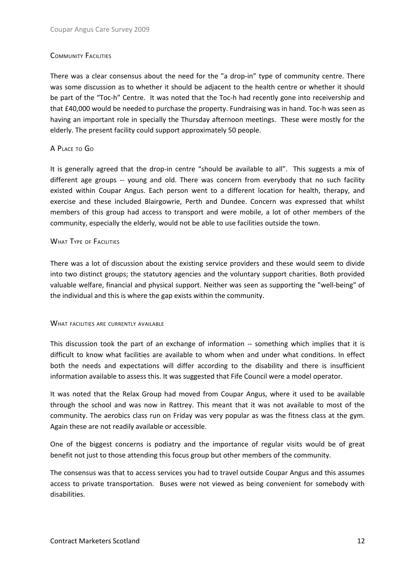## COMMUNITY FACILITIES

There was a clear consensus about the need for the "a drop-in" type of community centre. There was some discussion as to whether it should be adjacent to the health centre or whether it should be part of the "Toc-h" Centre. It was noted that the Toc-h had recently gone into receivership and that £40,000 would be needed to purchase the property. Fundraising was in hand. Toc-h was seen as having an important role in specially the Thursday afternoon meetings. These were mostly for the elderly. The present facility could support approximately 50 people.

## A PLACE TO G<sup>O</sup>

It is generally agreed that the drop-in centre "should be available to all". This suggests a mix of different age groups -- young and old. There was concern from everybody that no such facility existed within Coupar Angus. Each person went to a different location for health, therapy, and exercise and these included Blairgowrie, Perth and Dundee. Concern was expressed that whilst members of this group had access to transport and were mobile, a lot of other members of the community, especially the elderly, would not be able to use facilities outside the town.

## WHAT TYPE OF FACILITIES

There was a lot of discussion about the existing service providers and these would seem to divide into two distinct groups; the statutory agencies and the voluntary support charities. Both provided valuable welfare, financial and physical support. Neither was seen as supporting the "well-being" of the individual and this is where the gap exists within the community.

#### WHAT FACILITIES ARE CURRENTLY AVAILABLE

This discussion took the part of an exchange of information -- something which implies that it is difficult to know what facilities are available to whom when and under what conditions. In effect both the needs and expectations will differ according to the disability and there is insufficient information available to assess this. It was suggested that Fife Council were a model operator.

It was noted that the Relax Group had moved from Coupar Angus, where it used to be available through the school and was now in Rattrey. This meant that it was not available to most of the community. The aerobics class run on Friday was very popular as was the fitness class at the gym. Again these are not readily available or accessible.

One of the biggest concerns is podiatry and the importance of regular visits would be of great benefit not just to those attending this focus group but other members of the community.

The consensus was that to access services you had to travel outside Coupar Angus and this assumes access to private transportation. Buses were not viewed as being convenient for somebody with disabilities.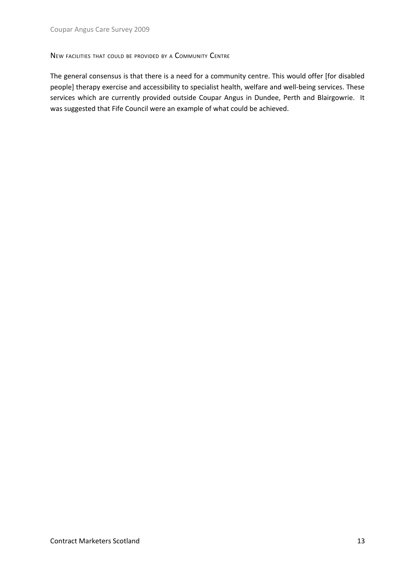## NEW FACILITIES THAT COULD BE PROVIDED BY <sup>A</sup> COMMUNITY CENTRE

The general consensus is that there is a need for a community centre. This would offer [for disabled people] therapy exercise and accessibility to specialist health, welfare and well-being services. These services which are currently provided outside Coupar Angus in Dundee, Perth and Blairgowrie. It was suggested that Fife Council were an example of what could be achieved.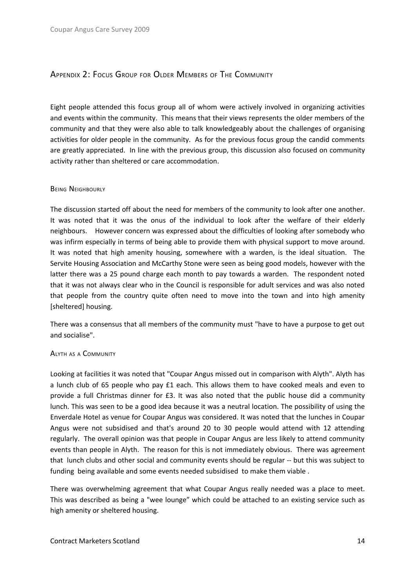## <span id="page-13-0"></span>APPENDIX 2: FOCUS GROUP FOR OLDER MEMBERS OF THE COMMUNITY

Eight people attended this focus group all of whom were actively involved in organizing activities and events within the community. This means that their views represents the older members of the community and that they were also able to talk knowledgeably about the challenges of organising activities for older people in the community. As for the previous focus group the candid comments are greatly appreciated. In line with the previous group, this discussion also focused on community activity rather than sheltered or care accommodation.

#### BEING NEIGHBOURLY

The discussion started off about the need for members of the community to look after one another. It was noted that it was the onus of the individual to look after the welfare of their elderly neighbours. However concern was expressed about the difficulties of looking after somebody who was infirm especially in terms of being able to provide them with physical support to move around. It was noted that high amenity housing, somewhere with a warden, is the ideal situation. The Servite Housing Association and McCarthy Stone were seen as being good models, however with the latter there was a 25 pound charge each month to pay towards a warden. The respondent noted that it was not always clear who in the Council is responsible for adult services and was also noted that people from the country quite often need to move into the town and into high amenity [sheltered] housing.

There was a consensus that all members of the community must "have to have a purpose to get out and socialise".

#### ALYTH AS <sup>A</sup> COMMUNITY

Looking at facilities it was noted that "Coupar Angus missed out in comparison with Alyth". Alyth has a lunch club of 65 people who pay £1 each. This allows them to have cooked meals and even to provide a full Christmas dinner for £3. It was also noted that the public house did a community lunch. This was seen to be a good idea because it was a neutral location. The possibility of using the Enverdale Hotel as venue for Coupar Angus was considered. It was noted that the lunches in Coupar Angus were not subsidised and that's around 20 to 30 people would attend with 12 attending regularly. The overall opinion was that people in Coupar Angus are less likely to attend community events than people in Alyth. The reason for this is not immediately obvious. There was agreement that lunch clubs and other social and community events should be regular -- but this was subject to funding being available and some events needed subsidised to make them viable .

There was overwhelming agreement that what Coupar Angus really needed was a place to meet. This was described as being a "wee lounge" which could be attached to an existing service such as high amenity or sheltered housing.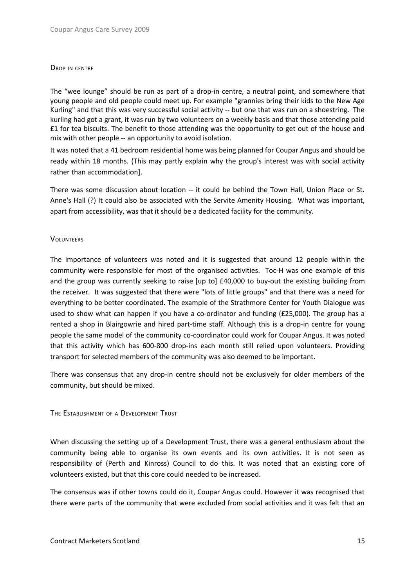#### DROP IN CENTRE

The "wee lounge" should be run as part of a drop-in centre, a neutral point, and somewhere that young people and old people could meet up. For example "grannies bring their kids to the New Age Kurling" and that this was very successful social activity -- but one that was run on a shoestring. The kurling had got a grant, it was run by two volunteers on a weekly basis and that those attending paid £1 for tea biscuits. The benefit to those attending was the opportunity to get out of the house and mix with other people -- an opportunity to avoid isolation.

It was noted that a 41 bedroom residential home was being planned for Coupar Angus and should be ready within 18 months. (This may partly explain why the group's interest was with social activity rather than accommodation].

There was some discussion about location -- it could be behind the Town Hall, Union Place or St. Anne's Hall (?) It could also be associated with the Servite Amenity Housing. What was important, apart from accessibility, was that it should be a dedicated facility for the community.

#### **VOLUNTEERS**

The importance of volunteers was noted and it is suggested that around 12 people within the community were responsible for most of the organised activities. Toc-H was one example of this and the group was currently seeking to raise [up to] £40,000 to buy-out the existing building from the receiver. It was suggested that there were "lots of little groups" and that there was a need for everything to be better coordinated. The example of the Strathmore Center for Youth Dialogue was used to show what can happen if you have a co-ordinator and funding (£25,000). The group has a rented a shop in Blairgowrie and hired part-time staff. Although this is a drop-in centre for young people the same model of the community co-coordinator could work for Coupar Angus. It was noted that this activity which has 600-800 drop-ins each month still relied upon volunteers. Providing transport for selected members of the community was also deemed to be important.

There was consensus that any drop-in centre should not be exclusively for older members of the community, but should be mixed.

#### THE ESTABLISHMENT OF <sup>A</sup> DEVELOPMENT TRUST

When discussing the setting up of a Development Trust, there was a general enthusiasm about the community being able to organise its own events and its own activities. It is not seen as responsibility of (Perth and Kinross) Council to do this. It was noted that an existing core of volunteers existed, but that this core could needed to be increased.

The consensus was if other towns could do it, Coupar Angus could. However it was recognised that there were parts of the community that were excluded from social activities and it was felt that an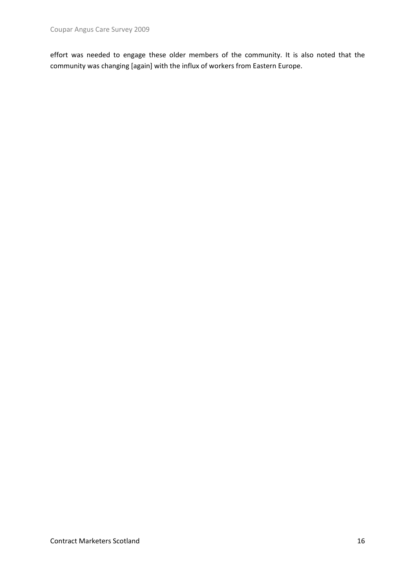effort was needed to engage these older members of the community. It is also noted that the community was changing [again] with the influx of workers from Eastern Europe.